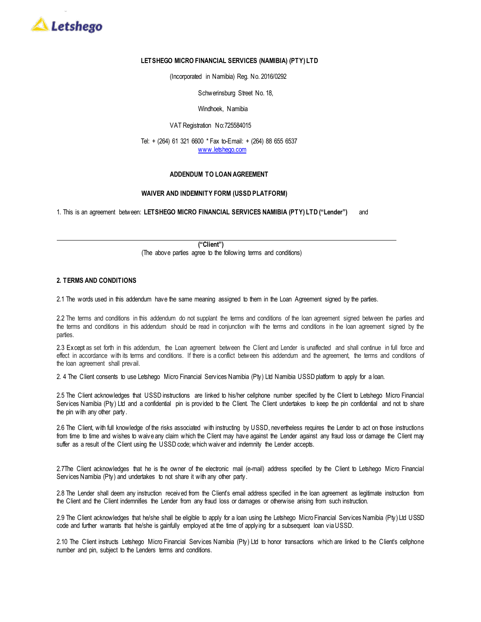

# **LETSHEGO MICRO FINANCIAL SERVICES (NAMIBIA) (PTY) LTD**

(Incorporated in Namibia) Reg. No. 2016/0292

Schwerinsburg Street No. 18,

# Windhoek, Namibia

# VAT Registration No:725584015

Tel: + (264) 61 321 6600 \* Fax to-Email: + (264) 88 655 6537 [www.letshego.com](http://www.letshego.com/)

### **ADDENDUM TO LOAN AGREEMENT**

# **WAIVER AND INDEMNITY FORM (USSD PLATFORM)**

1. This is an agreement between: **LETSHEGO MICRO FINANCIAL SERVICES NAMIBIA (PTY) LTD ("Lender")** and

**("Client")** (The above parties agree to the following terms and conditions)

# **2. TERMS AND CONDITIONS**

2.1 The words used in this addendum have the same meaning assigned to them in the Loan Agreement signed by the parties.

2.2 The terms and conditions in this addendum do not supplant the terms and conditions of the loan agreement signed between the parties and the terms and conditions in this addendum should be read in conjunction with the terms and conditions in the loan agreement signed by the parties.

2.3 Except as set forth in this addendum, the Loan agreement between the Client and Lender is unaffected and shall continue in full force and effect in accordance with its terms and conditions. If there is a conflict between this addendum and the agreement, the terms and conditions of the loan agreement shall prevail.

2. 4 The Client consents to use Letshego Micro Financial Services Namibia (Pty) Ltd Namibia USSD platform to apply for a loan.

2.5 The Client acknowledges that USSD instructions are Iinked to his/her cellphone number specified by the Client to Letshego Micro Financial Services Namibia (Pty) Ltd and a confidential pin is provided to the Client. The Client undertakes to keep the pin confidential and not to share the pin with any other party.

2.6 The Client, with full knowledge of the risks associated with instructing by USSD, nevertheless requires the Lender to act on those instructions from time to time and wishes to waive any claim which the Client may have against the Lender against any fraud loss or damage the Client may suffer as a result of the Client using the USSD code; which waiver and indemnity the Lender accepts.

2.7The Client acknowledges that he is the owner of the electronic mail (e-mail) address specified by the Client to Letshego Micro Financial Services Namibia (Pty) and undertakes to not share it with any other party.

2.8 The Lender shall deem any instruction received from the Client's email address specified in the loan agreement as legitimate instruction from the Client and the Client indemnifies the Lender from any fraud loss or damages or otherwise arising from such instruction.

2.9 The Client acknowledges that he/she shall be eligible to apply for a loan using the Letshego Micro Financial Services Namibia (Pty) Ltd USSD code and further warrants that he/she is gainfully employed at the time of applying for a subsequent loan via USSD.

2.10 The Client instructs Letshego Micro Financial Services Namibia (Pty) Ltd to honor transactions which are linked to the Client's cellphone number and pin, subject to the Lenders terms and conditions.